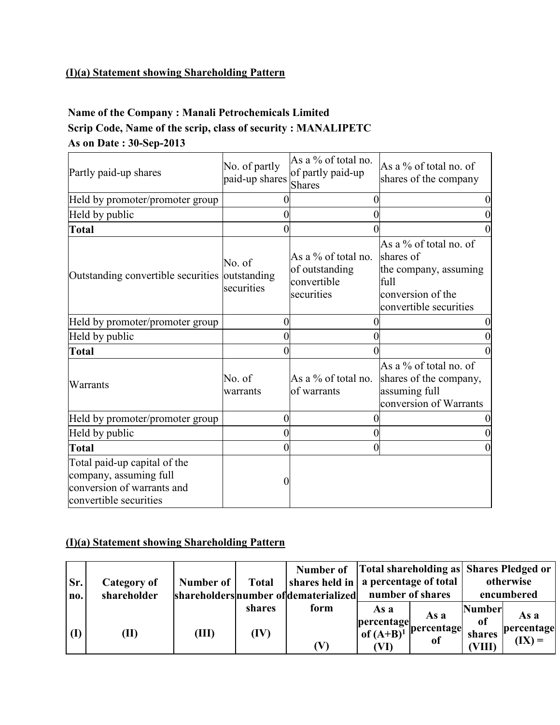# **(I)(a) Statement showing Shareholding Pattern**

# **Name of the Company : Manali Petrochemicals Limited Scrip Code, Name of the scrip, class of security : MANALIPETC As on Date : 30-Sep-2013**

| Partly paid-up shares                                                                                          | No. of partly<br>paid-up shares | As a % of total no.<br>of partly paid-up<br><b>Shares</b>             | As a % of total no. of<br>shares of the company                                                                     |
|----------------------------------------------------------------------------------------------------------------|---------------------------------|-----------------------------------------------------------------------|---------------------------------------------------------------------------------------------------------------------|
| Held by promoter/promoter group                                                                                |                                 | 0                                                                     |                                                                                                                     |
| Held by public                                                                                                 | 0                               | 0                                                                     |                                                                                                                     |
| <b>Total</b>                                                                                                   | 0                               | 0                                                                     |                                                                                                                     |
| Outstanding convertible securities outstanding                                                                 | No. of<br>securities            | As a $\%$ of total no.<br>of outstanding<br>convertible<br>securities | As a % of total no. of<br>shares of<br>the company, assuming<br>full<br>conversion of the<br>convertible securities |
| Held by promoter/promoter group                                                                                | $\boldsymbol{0}$                |                                                                       |                                                                                                                     |
| Held by public                                                                                                 | $\overline{0}$                  | 0                                                                     |                                                                                                                     |
| <b>Total</b>                                                                                                   | 0                               | 0                                                                     |                                                                                                                     |
| Warrants                                                                                                       | No. of<br>warrants              | As a % of total no.<br>of warrants                                    | As a % of total no. of<br>shares of the company,<br>assuming full<br>conversion of Warrants                         |
| Held by promoter/promoter group                                                                                | $\boldsymbol{0}$                | 0                                                                     |                                                                                                                     |
| Held by public                                                                                                 | 0                               | $\overline{0}$                                                        |                                                                                                                     |
| <b>Total</b>                                                                                                   | 0                               | $\overline{0}$                                                        |                                                                                                                     |
| Total paid-up capital of the<br>company, assuming full<br>conversion of warrants and<br>convertible securities | 0                               |                                                                       |                                                                                                                     |

#### **(I)(a) Statement showing Shareholding Pattern**

| Sr.<br>no. | Category of<br>shareholder | Number of $\vert$ | <b>Total</b> | Number of   Total shareholding as   Shares Pledged or<br>$ \text{shares held in} $ a percentage of total<br>shareholders number of dematerialized |                        | number of shares            |                     | otherwise<br>encumbered |
|------------|----------------------------|-------------------|--------------|---------------------------------------------------------------------------------------------------------------------------------------------------|------------------------|-----------------------------|---------------------|-------------------------|
|            |                            |                   | shares       | form                                                                                                                                              | As a<br>percentage     | As a                        | <b>Number</b><br>of | As a                    |
| <b>(I)</b> | (II)                       | (III)             | (IV)         |                                                                                                                                                   | of $(A+B)^{1}$<br>(VI) | percentage<br><sub>of</sub> | shares<br>(VIII)    | percentage<br>$(IX) =$  |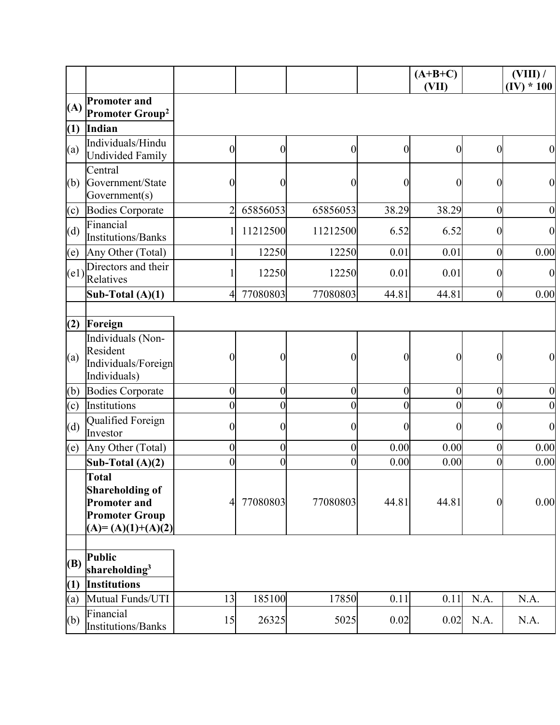|                  |                                                                                                        |                  |                  |                  |                  | $(A+B+C)$<br>(VII) |                  | $(VIII)$ /<br>$(IV) * 100$ |
|------------------|--------------------------------------------------------------------------------------------------------|------------------|------------------|------------------|------------------|--------------------|------------------|----------------------------|
| (A)              | <b>Promoter and</b><br>Promoter Group <sup>2</sup>                                                     |                  |                  |                  |                  |                    |                  |                            |
| (1)              | Indian                                                                                                 |                  |                  |                  |                  |                    |                  |                            |
| (a)              | Individuals/Hindu<br><b>Undivided Family</b>                                                           | $\overline{0}$   | $\overline{0}$   | $\boldsymbol{0}$ | $\boldsymbol{0}$ | $\mathbf{0}$       | $\overline{0}$   | $\boldsymbol{0}$           |
| (b)              | Central<br>Government/State<br>Government(s)                                                           | $\overline{0}$   | $\boldsymbol{0}$ | $\boldsymbol{0}$ | $\boldsymbol{0}$ | $\boldsymbol{0}$   | $\boldsymbol{0}$ | $\boldsymbol{0}$           |
| (c)              | <b>Bodies Corporate</b>                                                                                | $\overline{2}$   | 65856053         | 65856053         | 38.29            | 38.29              | $\boldsymbol{0}$ | $\boldsymbol{0}$           |
| (d)              | Financial<br><b>Institutions/Banks</b>                                                                 | $\mathbf{1}$     | 11212500         | 11212500         | 6.52             | 6.52               | $\overline{0}$   | $\boldsymbol{0}$           |
| (e)              | Any Other (Total)                                                                                      |                  | 12250            | 12250            | 0.01             | 0.01               | $\overline{0}$   | 0.00                       |
| (e1)             | Directors and their<br>Relatives                                                                       | 1                | 12250            | 12250            | 0.01             | 0.01               | $\boldsymbol{0}$ | $\boldsymbol{0}$           |
|                  | Sub-Total $(A)(1)$                                                                                     | 4                | 77080803         | 77080803         | 44.81            | 44.81              | $\boldsymbol{0}$ | 0.00                       |
|                  |                                                                                                        |                  |                  |                  |                  |                    |                  |                            |
| (2)              | Foreign                                                                                                |                  |                  |                  |                  |                    |                  |                            |
| (a)              | Individuals (Non-<br>Resident<br>Individuals/Foreign<br>Individuals)                                   | 0                | 0                | $\boldsymbol{0}$ | $\boldsymbol{0}$ | $\boldsymbol{0}$   | $\boldsymbol{0}$ | $\boldsymbol{0}$           |
| (b)              | <b>Bodies Corporate</b>                                                                                | $\overline{0}$   | $\boldsymbol{0}$ | $\mathbf{0}$     | $\mathbf{0}$     | $\mathbf{0}$       | $\overline{0}$   | $\boldsymbol{0}$           |
| $\overline{c}$   | Institutions                                                                                           | $\overline{0}$   | $\overline{0}$   | $\overline{0}$   | $\overline{0}$   | $\mathbf{0}$       | $\overline{0}$   | $\boldsymbol{0}$           |
| (d)              | Qualified Foreign<br>Investor                                                                          | $\boldsymbol{0}$ | 0                | $\boldsymbol{0}$ | $\theta$         | $\theta$           | $\boldsymbol{0}$ | $\boldsymbol{0}$           |
| (e)              | Any Other (Total)                                                                                      | $\boldsymbol{0}$ | $\pmb{0}$        | $\boldsymbol{0}$ | 0.00             | 0.00               | $\overline{0}$   | 0.00                       |
|                  | Sub-Total $(A)(2)$                                                                                     | $\pmb{0}$        | $\overline{0}$   | $\boldsymbol{0}$ | 0.00             | 0.00               | $\overline{0}$   | 0.00                       |
|                  | Total<br><b>Shareholding of</b><br><b>Promoter and</b><br><b>Promoter Group</b><br>$(A)=(A)(1)+(A)(2)$ | 4                | 77080803         | 77080803         | 44.81            | 44.81              | $\overline{0}$   | 0.00                       |
| <b>(B)</b>       | <b>Public</b><br>shareholding <sup>3</sup>                                                             |                  |                  |                  |                  |                    |                  |                            |
| $\left(1\right)$ | <b>Institutions</b>                                                                                    |                  |                  |                  |                  |                    |                  |                            |
| (a)<br>(b)       | Mutual Funds/UTI<br>Financial<br><b>Institutions/Banks</b>                                             | 13<br>15         | 185100<br>26325  | 17850<br>5025    | 0.11<br>0.02     | 0.11<br>0.02       | N.A.<br>N.A.     | N.A.<br>N.A.               |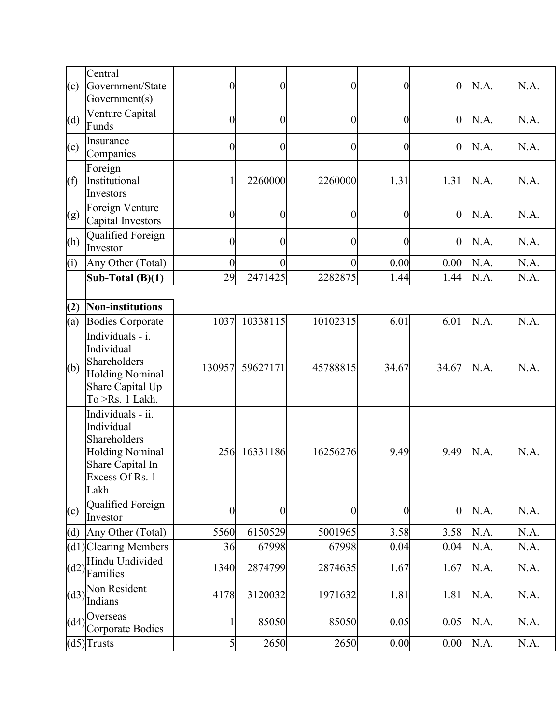| (c) | Central<br>Government/State<br>Government(s)                                                                             | $\boldsymbol{0}$ | $\overline{0}$ | $\boldsymbol{0}$ | $\boldsymbol{0}$ | $\boldsymbol{0}$ | N.A. | N.A. |
|-----|--------------------------------------------------------------------------------------------------------------------------|------------------|----------------|------------------|------------------|------------------|------|------|
| (d) | Venture Capital<br>Funds                                                                                                 | $\boldsymbol{0}$ | $\overline{0}$ | $\boldsymbol{0}$ | $\boldsymbol{0}$ | $\overline{0}$   | N.A. | N.A. |
| (e) | Insurance<br>Companies                                                                                                   | $\overline{0}$   | $\overline{0}$ | $\mathbf{0}$     | $\overline{0}$   | $\overline{0}$   | N.A. | N.A. |
| (f) | Foreign<br>Institutional<br>Investors                                                                                    | 1                | 2260000        | 2260000          | 1.31             | 1.31             | N.A. | N.A. |
| (g) | Foreign Venture<br>Capital Investors                                                                                     | $\overline{0}$   | $\overline{0}$ | $\overline{0}$   | $\boldsymbol{0}$ | $\overline{0}$   | N.A. | N.A. |
| (h) | Qualified Foreign<br>Investor                                                                                            | $\overline{0}$   | $\theta$       | 0                | $\boldsymbol{0}$ | $\boldsymbol{0}$ | N.A. | N.A. |
| (i) | Any Other (Total)                                                                                                        | $\boldsymbol{0}$ | $\overline{0}$ | $\overline{0}$   | 0.00             | 0.00             | N.A. | N.A. |
|     | Sub-Total $(B)(1)$                                                                                                       | 29               | 2471425        | 2282875          | 1.44             | 1.44             | N.A. | N.A. |
|     |                                                                                                                          |                  |                |                  |                  |                  |      |      |
| (2) | Non-institutions                                                                                                         |                  |                |                  |                  |                  |      |      |
| (a) | <b>Bodies Corporate</b>                                                                                                  | 1037             | 10338115       | 10102315         | 6.01             | 6.01             | N.A. | N.A. |
| (b) | Individuals - i.<br>Individual<br>Shareholders<br><b>Holding Nominal</b><br>Share Capital Up<br>To >Rs. 1 Lakh.          | 130957           | 59627171       | 45788815         | 34.67            | 34.67            | N.A. | N.A. |
|     | Individuals - ii.<br>Individual<br>Shareholders<br><b>Holding Nominal</b><br>Share Capital In<br>Excess Of Rs. 1<br>Lakh | 256              | 16331186       | 16256276         | 9.49             | 9.49             | N.A. | N.A. |
| (c) | Qualified Foreign<br>Investor                                                                                            | 0                | $\overline{0}$ | $\boldsymbol{0}$ | $\boldsymbol{0}$ | $\boldsymbol{0}$ | N.A. | N.A. |
| (d) | Any Other (Total)                                                                                                        | 5560             | 6150529        | 5001965          | 3.58             | 3.58             | N.A. | N.A. |
|     | $(d1)$ Clearing Members                                                                                                  | 36               | 67998          | 67998            | 0.04             | 0.04             | N.A. | N.A. |
|     | Hindu Undivided<br>$\left \frac{d2}{Families}\right $                                                                    | 1340             | 2874799        | 2874635          | 1.67             | 1.67             | N.A. | N.A. |
|     | Non Resident<br>$(d3)$ $\left  \overline{\text{Indians}} \right $                                                        | 4178             | 3120032        | 1971632          | 1.81             | 1.81             | N.A. | N.A. |
|     | Overseas<br>$\left \text{(d4)}\right  \text{Corporate Bodies}$                                                           | 1                | 85050          | 85050            | 0.05             | 0.05             | N.A. | N.A. |
|     | $(d5)$ Trusts                                                                                                            | 5                | 2650           | 2650             | 0.00             | 0.00             | N.A. | N.A. |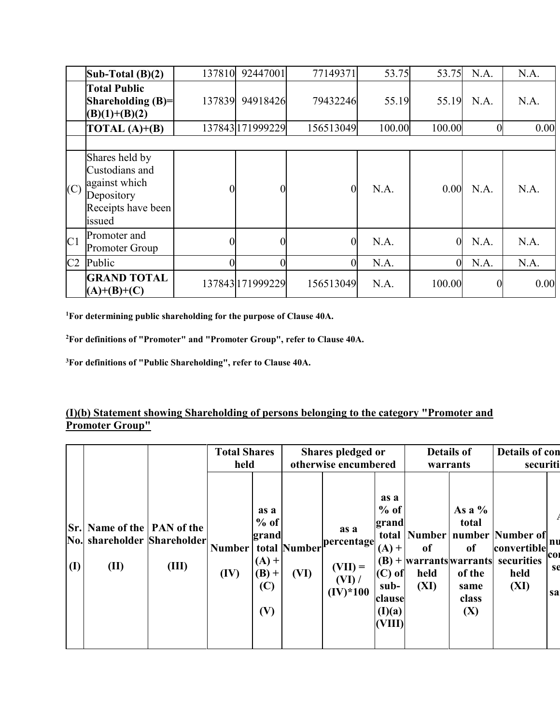|                | Sub-Total $(B)(2)$                                                                              | 137810         | 92447001         | 77149371       | 53.75  | 53.75          | N.A.             | N.A. |
|----------------|-------------------------------------------------------------------------------------------------|----------------|------------------|----------------|--------|----------------|------------------|------|
|                | <b>Total Public</b><br>Shareholding $(B)=$<br>$(B)(1)+(B)(2)$                                   | 137839         | 94918426         | 79432246       | 55.19  | 55.19          | N.A.             | N.A. |
|                | $\overline{\text{TOTAL (A)+}(B)}$                                                               |                | 137843 171999229 | 156513049      | 100.00 | 100.00         | $\boldsymbol{0}$ | 0.00 |
|                |                                                                                                 |                |                  |                |        |                |                  |      |
| (C)            | Shares held by<br>Custodians and<br>against which<br>Depository<br>Receipts have been<br>issued | 0              | $\theta$         | $\theta$       | N.A.   | 0.00           | N.A.             | N.A. |
| C <sub>1</sub> | Promoter and<br><b>Promoter Group</b>                                                           | 0              | $\theta$         | $\overline{0}$ | N.A.   | $\overline{0}$ | N.A.             | N.A. |
| C2             | Public                                                                                          | $\overline{0}$ |                  | $\overline{0}$ | N.A.   | $\overline{0}$ | N.A.             | N.A. |
|                | <b>GRAND TOTAL</b><br>$(A)+(B)+(C)$                                                             |                | 137843 171999229 | 156513049      | N.A.   | 100.00         | $\boldsymbol{0}$ | 0.00 |

**<sup>1</sup>For determining public shareholding for the purpose of Clause 40A.**

**<sup>2</sup>For definitions of "Promoter" and "Promoter Group", refer to Clause 40A.**

**<sup>3</sup>For definitions of "Public Shareholding", refer to Clause 40A.**

#### **(I)(b) Statement showing Shareholding of persons belonging to the category "Promoter and Promoter Group"**

|                            |                                                             |       | <b>Total Shares</b><br>held |                                                             |                      | Shares pledged or<br>otherwise encumbered             |                                                                                      | <b>Details of</b><br>warrants                              |                                                                      | <b>Details of con</b><br>securiti                                                  |                                          |
|----------------------------|-------------------------------------------------------------|-------|-----------------------------|-------------------------------------------------------------|----------------------|-------------------------------------------------------|--------------------------------------------------------------------------------------|------------------------------------------------------------|----------------------------------------------------------------------|------------------------------------------------------------------------------------|------------------------------------------|
| Sr.<br>No.<br>$\mathbf{I}$ | Name of the   PAN of the<br>shareholder Shareholder<br>(II) | (III) | <b>Number</b><br>(IV)       | as a<br>$%$ of<br>grand<br>$(A) +$<br>$(B) +$<br>(C)<br>(V) | total Number<br>(VI) | as a<br>percentage<br>$(VII) =$<br>(VI)<br>$(IV)*100$ | as a<br>$%$ of<br>grand<br>$(A) +$<br>$(C)$ of<br>sub-<br>clause<br>(I)(a)<br>(VIII) | <sub>of</sub><br>$(B)$ + warrants warrants<br>held<br>(XI) | As a $%$<br>total<br><sub>of</sub><br>of the<br>same<br>class<br>(X) | total   Number   number   Number of  <br>convertible<br>securities<br>held<br>(XI) | nu<br>CO <sub>1</sub><br><b>se</b><br>sa |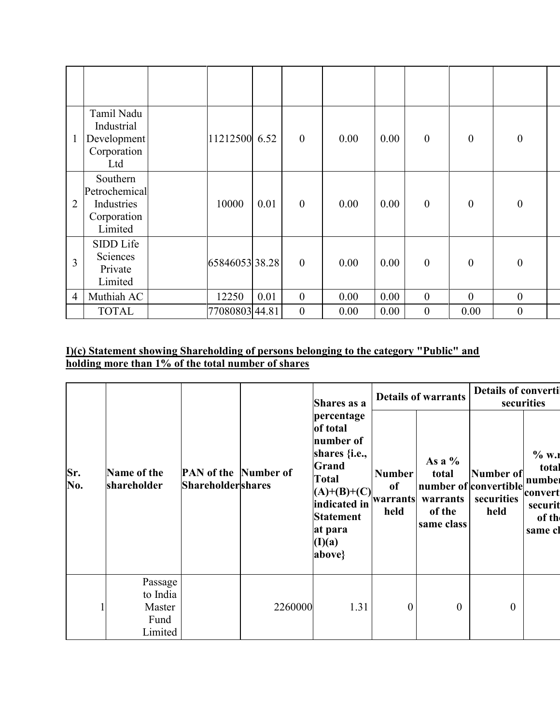| $\mathbf{1}$   | Tamil Nadu<br>Industrial<br>Development<br>Corporation<br>Ltd     | 11212500 6.52  |      | $\mathbf{0}$ | 0.00 | 0.00 | $\boldsymbol{0}$ | $\boldsymbol{0}$ | $\boldsymbol{0}$ |  |
|----------------|-------------------------------------------------------------------|----------------|------|--------------|------|------|------------------|------------------|------------------|--|
| $\overline{2}$ | Southern<br>Petrochemical<br>Industries<br>Corporation<br>Limited | 10000          | 0.01 | $\mathbf{0}$ | 0.00 | 0.00 | $\boldsymbol{0}$ | $\theta$         | $\boldsymbol{0}$ |  |
| $\overline{3}$ | <b>SIDD</b> Life<br>Sciences<br>Private<br>Limited                | 65846053 38.28 |      | $\mathbf{0}$ | 0.00 | 0.00 | $\boldsymbol{0}$ | $\theta$         | $\boldsymbol{0}$ |  |
| $\overline{4}$ | Muthiah AC                                                        | 12250          | 0.01 | $\mathbf{0}$ | 0.00 | 0.00 | $\boldsymbol{0}$ | $\mathbf{0}$     | $\boldsymbol{0}$ |  |
|                | <b>TOTAL</b>                                                      | 77080803 44.81 |      | $\mathbf{0}$ | 0.00 | 0.00 | $\boldsymbol{0}$ | 0.00             | $\boldsymbol{0}$ |  |

#### **I)(c) Statement showing Shareholding of persons belonging to the category "Public" and holding more than 1% of the total number of shares**

|            |                                                  |                                                          |         | Shares as a                                                                                                                                                                |                                         | <b>Details of warrants</b>                            | <b>Details of converti</b>                               | securities                                                           |
|------------|--------------------------------------------------|----------------------------------------------------------|---------|----------------------------------------------------------------------------------------------------------------------------------------------------------------------------|-----------------------------------------|-------------------------------------------------------|----------------------------------------------------------|----------------------------------------------------------------------|
| Sr.<br>No. | Name of the<br>shareholder                       | <b>PAN</b> of the Number of<br><b>Shareholder</b> shares |         | percentage<br>of total<br>number of<br>shares { <i>i.e.</i> ,<br>Grand<br><b>Total</b><br>$(A)+(B)+(C)$<br>indicated in<br><b>Statement</b><br>at para<br>(I)(a)<br>above} | <b>Number</b><br>of<br>warrants<br>held | As a $%$<br>total<br>warrants<br>of the<br>same class | Number of<br>number of convertible<br>securities<br>held | $%$ W.1<br>total<br>number<br>convert<br>securit<br>of th<br>same cl |
|            | Passage<br>to India<br>Master<br>Fund<br>Limited |                                                          | 2260000 | 1.31                                                                                                                                                                       | $\mathbf{0}$                            | $\boldsymbol{0}$                                      | $\overline{0}$                                           |                                                                      |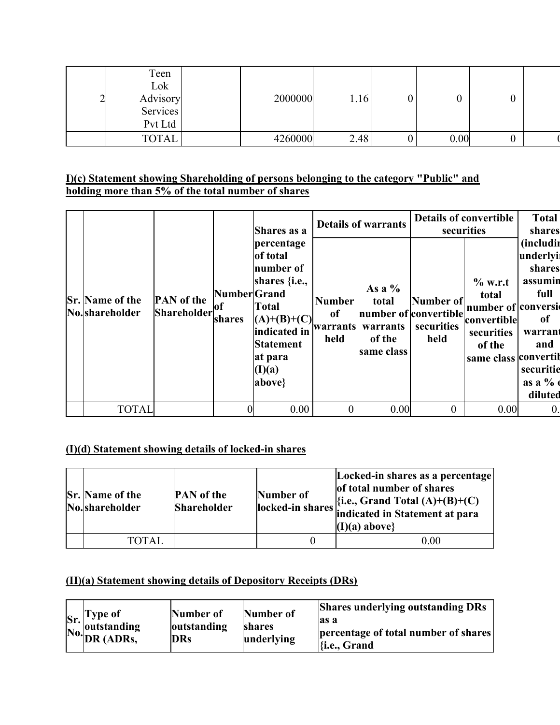# **I)(c) Statement showing Shareholding of persons belonging to the category "Public" and holding more than 5% of the total number of shares**

|                                          |                                  |                               | Shares as a                                                                                                                                                                       |                                         | <b>Details of warrants</b>                            | securities                                               | <b>Details of convertible</b>                                                                           | <b>Total</b><br>shares                                                                                                  |
|------------------------------------------|----------------------------------|-------------------------------|-----------------------------------------------------------------------------------------------------------------------------------------------------------------------------------|-----------------------------------------|-------------------------------------------------------|----------------------------------------------------------|---------------------------------------------------------------------------------------------------------|-------------------------------------------------------------------------------------------------------------------------|
| <b>Sr.</b> Name of the<br>No.shareholder | <b>PAN</b> of the<br>Shareholder | Number Grand<br>lof<br>shares | percentage<br>of total<br>number of<br>shares $\{i.e.,\}$<br><b>Total</b><br>$(A)+(B)+(C)$<br>indicated in<br><b>Statement</b><br>at para<br>$(\mathbf{I})(\mathbf{a})$<br>above} | <b>Number</b><br>of<br>warrants<br>held | As a $%$<br>total<br>warrants<br>of the<br>same class | Number of<br>number of convertible<br>securities<br>held | $%$ w.r.t<br>total<br>number of conversi<br>convertible<br>securities<br>of the<br>same class convertil | <i>(includin)</i><br>underlyi<br>shares<br>assumin<br>full<br>0f<br>warrant<br>and<br>securitie<br>as a $\%$<br>diluted |
| <b>TOTAL</b>                             |                                  |                               | 0.00                                                                                                                                                                              | $\overline{0}$                          | 0.00                                                  | $\theta$                                                 | 0.00                                                                                                    | $\overline{0}$ .                                                                                                        |

# **(I)(d) Statement showing details of locked-in shares**

| <b>Sr.</b> Name of the<br>No.shareholder | <b>PAN</b> of the<br><b>Shareholder</b> | Number of | Locked-in shares as a percentage<br>of total number of shares<br>$\left \{i.e., Grand Total (A)+(B)+(C)\right \}$<br>locked-in shares indicated in Statement at para<br>$(I)(a)$ above |
|------------------------------------------|-----------------------------------------|-----------|----------------------------------------------------------------------------------------------------------------------------------------------------------------------------------------|
| TOTAL                                    |                                         |           | 0.00                                                                                                                                                                                   |

# **(II)(a) Statement showing details of Depository Receipts (DRs)**

|  | Sr. Type of<br>No. outstanding<br>No. DR (ADRs, | Number of<br>outstanding<br><b>DRs</b> | Number of<br>shares<br>underlying | <b>Shares underlying outstanding DRs</b><br>as a<br>percentage of total number of shares<br>li.e., Grand |
|--|-------------------------------------------------|----------------------------------------|-----------------------------------|----------------------------------------------------------------------------------------------------------|
|--|-------------------------------------------------|----------------------------------------|-----------------------------------|----------------------------------------------------------------------------------------------------------|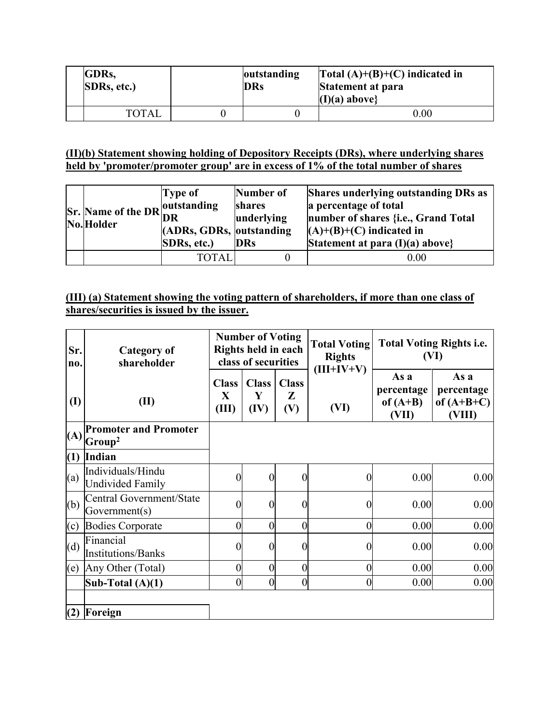| <b>IGDRs.</b><br><b>SDRs, etc.)</b> |  | outstanding<br><b>DRs</b> | $\text{Total (A)+(B)+(C)}$ indicated in<br>Statement at para<br>$(I)(a)$ above |  |
|-------------------------------------|--|---------------------------|--------------------------------------------------------------------------------|--|
| <b>TOTAL</b>                        |  |                           | $0.00\,$                                                                       |  |

#### **(II)(b) Statement showing holding of Depository Receipts (DRs), where underlying shares held by 'promoter/promoter group' are in excess of 1% of the total number of shares**

| $\left \n\begin{array}{c}\n\text{S}_r\n\end{array}\n\right $ Name of the DR $\left \n\begin{array}{c}\n\text{outstanding} \\ \text{DR}\n\end{array}\n\right $<br>No. Holder | <b>Type of</b><br>(ADRs, GDRs, outstanding)<br><b>SDRs, etc.)</b> | Number of<br>shares<br>underlying<br><b>DRs</b> | <b>Shares underlying outstanding DRs as</b><br>a percentage of total<br>number of shares {i.e., Grand Total<br>$(A)+(B)+(C)$ indicated in<br>Statement at para $(I)(a)$ above} |
|-----------------------------------------------------------------------------------------------------------------------------------------------------------------------------|-------------------------------------------------------------------|-------------------------------------------------|--------------------------------------------------------------------------------------------------------------------------------------------------------------------------------|
|                                                                                                                                                                             | TOTAL                                                             |                                                 | 0.00                                                                                                                                                                           |

### **(III) (a) Statement showing the voting pattern of shareholders, if more than one class of shares/securities is issued by the issuer.**

| Sr.<br>no.   | <b>Category of</b><br>shareholder                  | <b>Number of Voting</b><br>Rights held in each<br>class of securities |                           |                          | <b>Total Voting</b><br><b>Rights</b><br>$(III+IV+V)$ | <b>Total Voting Rights i.e.</b><br>(VI)   |                                              |
|--------------|----------------------------------------------------|-----------------------------------------------------------------------|---------------------------|--------------------------|------------------------------------------------------|-------------------------------------------|----------------------------------------------|
| $\mathbf{I}$ | (II)                                               | <b>Class</b><br>X<br>(III)                                            | <b>Class</b><br>Y<br>(IV) | <b>Class</b><br>Z<br>(V) | (VI)                                                 | As a<br>percentage<br>of $(A+B)$<br>(VII) | As a<br>percentage<br>of $(A+B+C)$<br>(VIII) |
| (A)          | <b>Promoter and Promoter</b><br>Group <sup>2</sup> |                                                                       |                           |                          |                                                      |                                           |                                              |
| (1)          | Indian                                             |                                                                       |                           |                          |                                                      |                                           |                                              |
| (a)          | Individuals/Hindu<br><b>Undivided Family</b>       | $\boldsymbol{0}$                                                      | $\boldsymbol{0}$          | 0                        | $\overline{0}$                                       | 0.00                                      | 0.00                                         |
| (b)          | Central Government/State<br>Government(s)          | $\boldsymbol{0}$                                                      | $\boldsymbol{0}$          | 0                        | 0                                                    | 0.00                                      | 0.00                                         |
| (c)          | <b>Bodies Corporate</b>                            | $\overline{0}$                                                        | $\boldsymbol{0}$          | $\overline{0}$           | $\overline{0}$                                       | 0.00                                      | 0.00                                         |
| (d)          | Financial<br><b>Institutions/Banks</b>             | $\boldsymbol{0}$                                                      | $\theta$                  | 0                        | 0                                                    | 0.00                                      | 0.00                                         |
| (e)          | Any Other (Total)                                  | $\boldsymbol{0}$                                                      | $\overline{0}$            | $\overline{0}$           | 0                                                    | 0.00                                      | 0.00                                         |
|              | Sub-Total $(A)(1)$                                 | $\overline{0}$                                                        | $\overline{0}$            | $\overline{0}$           | 0                                                    | 0.00                                      | 0.00                                         |
| (2)          | Foreign                                            |                                                                       |                           |                          |                                                      |                                           |                                              |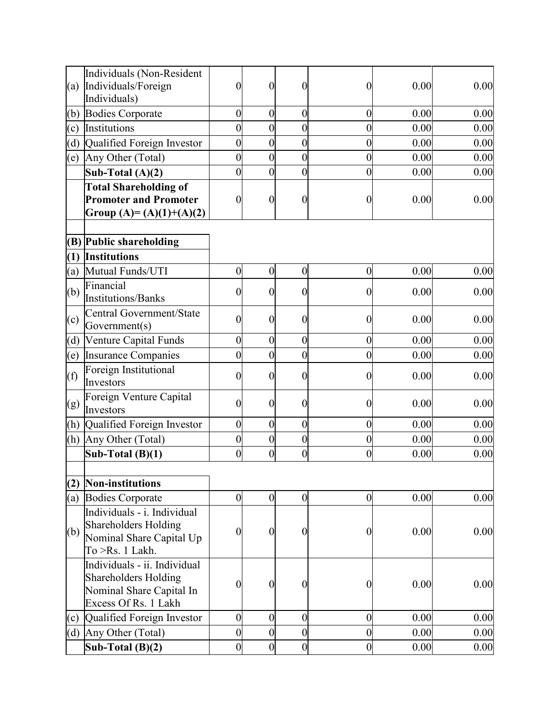|     | Individuals (Non-Resident<br>(a) Individuals/Foreign<br>Individuals)                                     | $\boldsymbol{0}$ | $\boldsymbol{0}$ | 0                | $\boldsymbol{0}$ | 0.00 | 0.00 |
|-----|----------------------------------------------------------------------------------------------------------|------------------|------------------|------------------|------------------|------|------|
|     | (b) Bodies Corporate                                                                                     | $\overline{0}$   | $\boldsymbol{0}$ | $\boldsymbol{0}$ | $\boldsymbol{0}$ | 0.00 | 0.00 |
| (c) | Institutions                                                                                             | $\overline{0}$   | $\boldsymbol{0}$ | 0                | $\boldsymbol{0}$ | 0.00 | 0.00 |
| (d) | Qualified Foreign Investor                                                                               | $\boldsymbol{0}$ | $\boldsymbol{0}$ | $\overline{0}$   | $\boldsymbol{0}$ | 0.00 | 0.00 |
| (e) | Any Other (Total)                                                                                        | $\overline{0}$   | $\boldsymbol{0}$ | 0                | $\boldsymbol{0}$ | 0.00 | 0.00 |
|     | Sub-Total $(A)(2)$                                                                                       | $\overline{0}$   | $\overline{0}$   | 0                | $\boldsymbol{0}$ | 0.00 | 0.00 |
|     | <b>Total Shareholding of</b>                                                                             |                  |                  |                  |                  |      |      |
|     | <b>Promoter and Promoter</b>                                                                             | $\boldsymbol{0}$ | $\boldsymbol{0}$ | 0                | $\left($         | 0.00 | 0.00 |
|     | Group (A)= (A)(1)+(A)(2)                                                                                 |                  |                  |                  |                  |      |      |
|     |                                                                                                          |                  |                  |                  |                  |      |      |
|     | (B) Public shareholding                                                                                  |                  |                  |                  |                  |      |      |
|     | $(1)$ Institutions                                                                                       |                  |                  |                  |                  |      |      |
| (a) | Mutual Funds/UTI                                                                                         | $\overline{0}$   | $\boldsymbol{0}$ | $\boldsymbol{0}$ | $\boldsymbol{0}$ | 0.00 | 0.00 |
| (b) | Financial<br>Institutions/Banks                                                                          | $\boldsymbol{0}$ | $\boldsymbol{0}$ | 0                | $\theta$         | 0.00 | 0.00 |
| (c) | Central Government/State<br>Government(s)                                                                | $\boldsymbol{0}$ | $\boldsymbol{0}$ | 0                | 0                | 0.00 | 0.00 |
| (d) | Venture Capital Funds                                                                                    | $\boldsymbol{0}$ | $\boldsymbol{0}$ | $\overline{0}$   | $\boldsymbol{0}$ | 0.00 | 0.00 |
|     | (e) Insurance Companies                                                                                  | $\overline{0}$   | $\boldsymbol{0}$ | $\boldsymbol{0}$ | $\boldsymbol{0}$ | 0.00 | 0.00 |
| (f) | Foreign Institutional<br>Investors                                                                       | $\overline{0}$   | $\boldsymbol{0}$ | $\boldsymbol{0}$ | $\boldsymbol{0}$ | 0.00 | 0.00 |
| (g) | Foreign Venture Capital<br>Investors                                                                     | $\overline{0}$   | $\boldsymbol{0}$ | 0                | $\boldsymbol{0}$ | 0.00 | 0.00 |
|     | (h) Qualified Foreign Investor                                                                           | $\overline{0}$   | $\boldsymbol{0}$ | $\boldsymbol{0}$ | $\boldsymbol{0}$ | 0.00 | 0.00 |
|     | (h) Any Other (Total)                                                                                    | $\boldsymbol{0}$ | $\boldsymbol{0}$ | $\boldsymbol{0}$ | $\boldsymbol{0}$ | 0.00 | 0.00 |
|     | Sub-Total $(B)(1)$                                                                                       | $\overline{0}$   | $\boldsymbol{0}$ | $\overline{0}$   | $\boldsymbol{0}$ | 0.00 | 0.00 |
| (2) | Non-institutions                                                                                         |                  |                  |                  |                  |      |      |
| (a) | <b>Bodies Corporate</b>                                                                                  | $\boldsymbol{0}$ | $\boldsymbol{0}$ | $\boldsymbol{0}$ | $\overline{0}$   | 0.00 | 0.00 |
|     | Individuals - i. Individual                                                                              |                  |                  |                  |                  |      |      |
| (b) | <b>Shareholders Holding</b><br>Nominal Share Capital Up<br>To >Rs. 1 Lakh.                               | $\overline{0}$   | $\boldsymbol{0}$ | $\boldsymbol{0}$ | $\boldsymbol{0}$ | 0.00 | 0.00 |
|     | Individuals - ii. Individual<br>Shareholders Holding<br>Nominal Share Capital In<br>Excess Of Rs. 1 Lakh | $\boldsymbol{0}$ | $\boldsymbol{0}$ | $\boldsymbol{0}$ | $\boldsymbol{0}$ | 0.00 | 0.00 |
|     | (c) Qualified Foreign Investor                                                                           | $\overline{0}$   | $\boldsymbol{0}$ | $\boldsymbol{0}$ | $\boldsymbol{0}$ | 0.00 | 0.00 |
|     | (d) Any Other (Total)                                                                                    | $\overline{0}$   | $\boldsymbol{0}$ | $\boldsymbol{0}$ | $\boldsymbol{0}$ | 0.00 | 0.00 |
|     | Sub-Total $(B)(2)$                                                                                       | $\boldsymbol{0}$ | $\boldsymbol{0}$ | $\overline{0}$   | $\boldsymbol{0}$ | 0.00 | 0.00 |